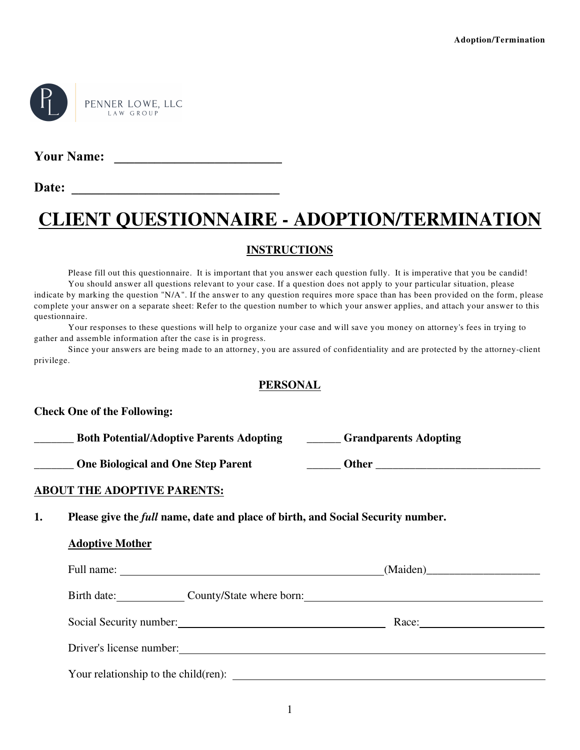

**Your Name: \_\_\_\_\_\_\_\_\_\_\_\_\_\_\_\_\_\_\_\_\_\_\_\_\_**

**Date: \_\_\_\_\_\_\_\_\_\_\_\_\_\_\_\_\_\_\_\_\_\_\_\_\_\_\_\_\_\_\_**

# **CLIENT QUESTIONNAIRE - ADOPTION/TERMINATION**

### **INSTRUCTIONS**

Please fill out this questionnaire. It is important that you answer each question fully. It is imperative that you be candid! You should answer all questions relevant to your case. If a question does not apply to your particular situation, please indicate by marking the question "N/A". If the answer to any question requires more space than has been provided on the form, please complete your answer on a separate sheet: Refer to the question number to which your answer applies, and attach your answer to this questionnaire.

Your responses to these questions will help to organize your case and will save you money on attorney's fees in trying to gather and assemble information after the case is in progress.

Since your answers are being made to an attorney, you are assured of confidentiality and are protected by the attorney-client privilege.

### **PERSONAL**

### **Check One of the Following:**

| <b>Both Potential/Adoptive Parents Adopting</b> | <b>Grandparents Adopting</b> |
|-------------------------------------------------|------------------------------|
| <b>One Biological and One Step Parent</b>       | Other                        |

### **ABOUT THE ADOPTIVE PARENTS:**

**1. Please give the** *full* **name, date and place of birth, and Social Security number.**

### **Adoptive Mother**

| Full name:                            |                          |       |
|---------------------------------------|--------------------------|-------|
| Birth date:                           | County/State where born: |       |
|                                       | Social Security number:  | Race: |
| Driver's license number:              |                          |       |
| Your relationship to the child (ren): |                          |       |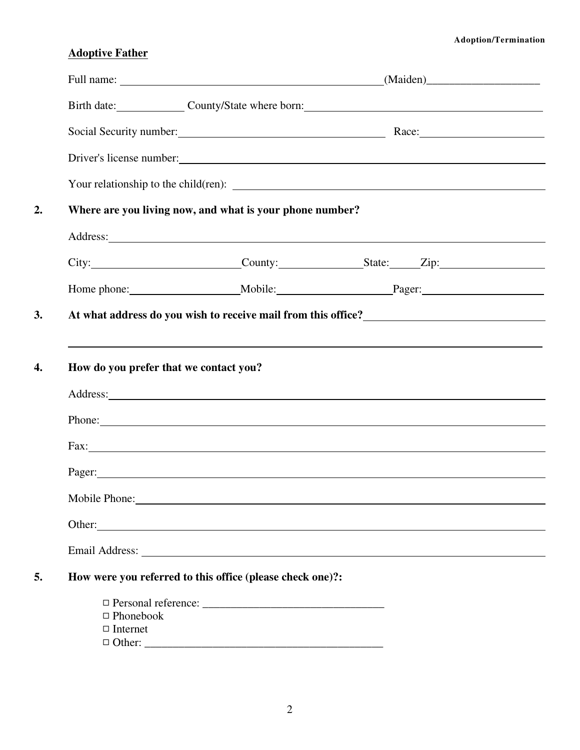### **Adoption/Termination**

# **Adoptive Father**

|                                     |                                                                                                                                                                                                                                      | Birth date: County/State where born: County/State where born:                                                                                                                                                                        |
|-------------------------------------|--------------------------------------------------------------------------------------------------------------------------------------------------------------------------------------------------------------------------------------|--------------------------------------------------------------------------------------------------------------------------------------------------------------------------------------------------------------------------------------|
|                                     |                                                                                                                                                                                                                                      | Social Security number: Race: Race:                                                                                                                                                                                                  |
|                                     |                                                                                                                                                                                                                                      | Driver's license number:                                                                                                                                                                                                             |
|                                     |                                                                                                                                                                                                                                      |                                                                                                                                                                                                                                      |
|                                     | Where are you living now, and what is your phone number?                                                                                                                                                                             |                                                                                                                                                                                                                                      |
|                                     | Address: <u>example and the set of the set of the set of the set of the set of the set of the set of the set of the set of the set of the set of the set of the set of the set of the set of the set of the set of the set of th</u> |                                                                                                                                                                                                                                      |
|                                     |                                                                                                                                                                                                                                      | City: City: County: County: State: Zip:                                                                                                                                                                                              |
|                                     |                                                                                                                                                                                                                                      |                                                                                                                                                                                                                                      |
|                                     |                                                                                                                                                                                                                                      |                                                                                                                                                                                                                                      |
|                                     |                                                                                                                                                                                                                                      | Phone:                                                                                                                                                                                                                               |
|                                     |                                                                                                                                                                                                                                      | Fax: The contract of the contract of the contract of the contract of the contract of the contract of the contract of the contract of the contract of the contract of the contract of the contract of the contract of the contr       |
|                                     | Pager:                                                                                                                                                                                                                               |                                                                                                                                                                                                                                      |
|                                     |                                                                                                                                                                                                                                      |                                                                                                                                                                                                                                      |
|                                     |                                                                                                                                                                                                                                      | Other: <u>contract the contract of the contract of the contract of the contract of the contract of the contract of the contract of the contract of the contract of the contract of the contract of the contract of the contract </u> |
|                                     |                                                                                                                                                                                                                                      |                                                                                                                                                                                                                                      |
|                                     |                                                                                                                                                                                                                                      |                                                                                                                                                                                                                                      |
|                                     | How were you referred to this office (please check one)?:                                                                                                                                                                            |                                                                                                                                                                                                                                      |
|                                     |                                                                                                                                                                                                                                      |                                                                                                                                                                                                                                      |
| $\Box$ Phonebook<br>$\Box$ Internet |                                                                                                                                                                                                                                      |                                                                                                                                                                                                                                      |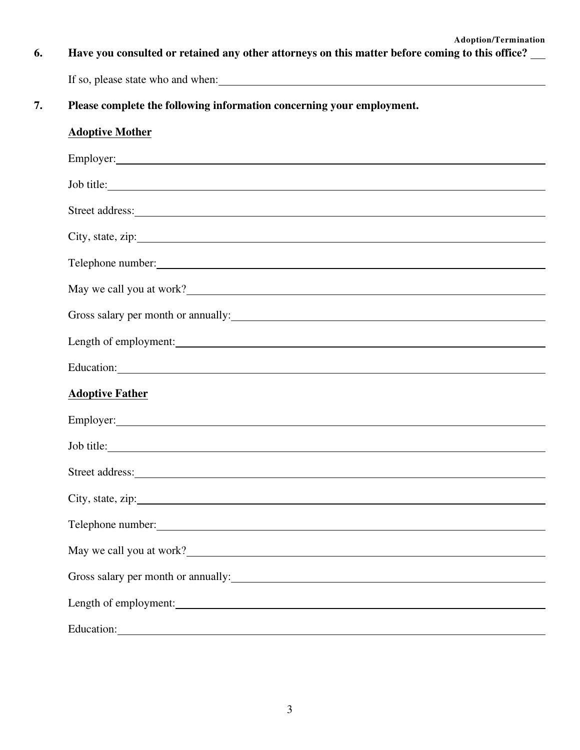**6. Have you consulted or retained any other attorneys on this matter before coming to this office?**

If so, please state who and when:

**7. Please complete the following information concerning your employment.**

## **Adoptive Mother**

| Job title:                                                                                                                                                                                                                           |
|--------------------------------------------------------------------------------------------------------------------------------------------------------------------------------------------------------------------------------------|
|                                                                                                                                                                                                                                      |
|                                                                                                                                                                                                                                      |
| Telephone number:                                                                                                                                                                                                                    |
| May we call you at work?                                                                                                                                                                                                             |
| Gross salary per month or annually:                                                                                                                                                                                                  |
|                                                                                                                                                                                                                                      |
|                                                                                                                                                                                                                                      |
| <b>Adoptive Father</b>                                                                                                                                                                                                               |
|                                                                                                                                                                                                                                      |
| Job title:                                                                                                                                                                                                                           |
|                                                                                                                                                                                                                                      |
|                                                                                                                                                                                                                                      |
|                                                                                                                                                                                                                                      |
| May we call you at work?                                                                                                                                                                                                             |
| Gross salary per month or annually: 100 minutes and the same same state of the same state of the same state of the same state of the same state of the same state of the same state of the same state of the same state of the       |
|                                                                                                                                                                                                                                      |
| Education: <u>Container and Container and Container and Container and Container and Container and Container and Container and Container and Container and Container and Container and Container and Container and Container and </u> |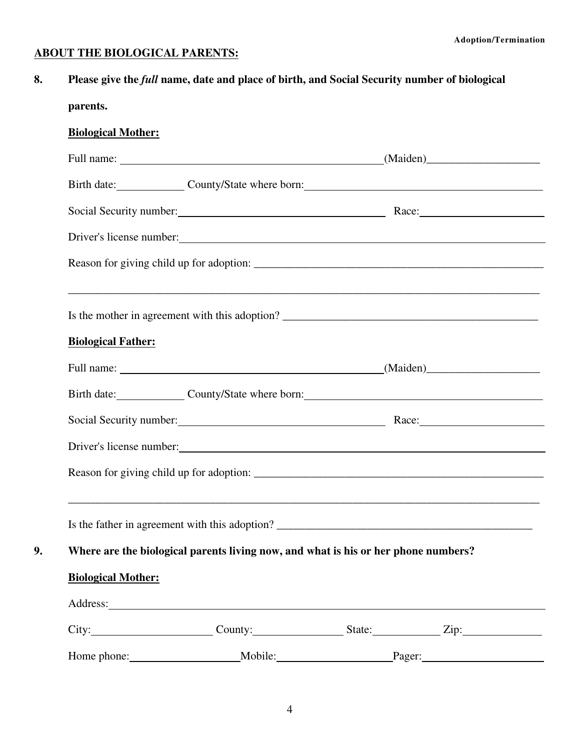### **ABOUT THE BIOLOGICAL PARENTS:**

**8. Please give the** *full* **name, date and place of birth, and Social Security number of biological**

# **parents.**

# **Biological Mother:**

|                           | Birth date: County/State where born: County/State where born:                                                                                                                                                                  |                     |        |
|---------------------------|--------------------------------------------------------------------------------------------------------------------------------------------------------------------------------------------------------------------------------|---------------------|--------|
|                           | Social Security number: Race: Race:                                                                                                                                                                                            |                     |        |
|                           | Driver's license number: 1000 million and 1000 million and 1000 million and 1000 million and 1000 million and 1000 million and 1000 million and 1000 million and 1000 million and 1000 million and 1000 million and 1000 milli |                     |        |
|                           |                                                                                                                                                                                                                                |                     |        |
|                           |                                                                                                                                                                                                                                |                     |        |
| <b>Biological Father:</b> |                                                                                                                                                                                                                                |                     |        |
|                           |                                                                                                                                                                                                                                |                     |        |
|                           | Birth date: County/State where born: County/State where born:                                                                                                                                                                  |                     |        |
|                           | Social Security number: Race: Race:                                                                                                                                                                                            |                     |        |
|                           | Driver's license number:                                                                                                                                                                                                       |                     |        |
|                           |                                                                                                                                                                                                                                |                     |        |
|                           |                                                                                                                                                                                                                                |                     |        |
|                           | Where are the biological parents living now, and what is his or her phone numbers?                                                                                                                                             |                     |        |
| <b>Biological Mother:</b> |                                                                                                                                                                                                                                |                     |        |
|                           |                                                                                                                                                                                                                                |                     |        |
|                           |                                                                                                                                                                                                                                | County: State: Zip: |        |
|                           | Mobile: Mobile:                                                                                                                                                                                                                |                     | Pager: |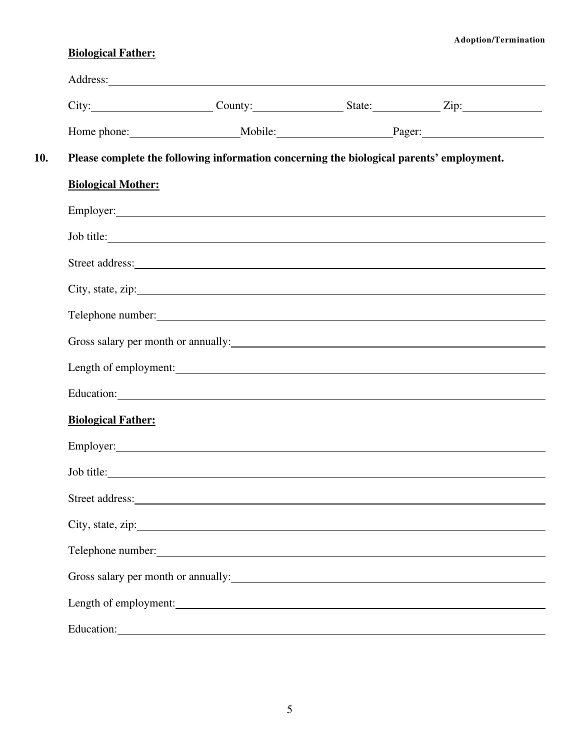### **Adoption/Termination**

# **Biological Father:**

|                           | City: City: County: County: State: Zip: Zip:                                                                                                                                                                                   |  |
|---------------------------|--------------------------------------------------------------------------------------------------------------------------------------------------------------------------------------------------------------------------------|--|
|                           |                                                                                                                                                                                                                                |  |
|                           | Please complete the following information concerning the biological parents' employment.                                                                                                                                       |  |
| <b>Biological Mother:</b> |                                                                                                                                                                                                                                |  |
|                           |                                                                                                                                                                                                                                |  |
|                           | Job title:                                                                                                                                                                                                                     |  |
|                           | Street address: Note that the same state of the state of the state of the state of the state of the state of the state of the state of the state of the state of the state of the state of the state of the state of the state |  |
|                           |                                                                                                                                                                                                                                |  |
|                           | Telephone number:                                                                                                                                                                                                              |  |
|                           |                                                                                                                                                                                                                                |  |
|                           | Length of employment:                                                                                                                                                                                                          |  |
|                           | Education:                                                                                                                                                                                                                     |  |
| <b>Biological Father:</b> |                                                                                                                                                                                                                                |  |
|                           | Employer: Employer and the same state of the state of the state of the state of the state of the state of the state of the state of the state of the state of the state of the state of the state of the state of the state of |  |
|                           | Job title:                                                                                                                                                                                                                     |  |
|                           |                                                                                                                                                                                                                                |  |
|                           |                                                                                                                                                                                                                                |  |
|                           | Telephone number:                                                                                                                                                                                                              |  |
|                           | Gross salary per month or annually:                                                                                                                                                                                            |  |
|                           | Length of employment:                                                                                                                                                                                                          |  |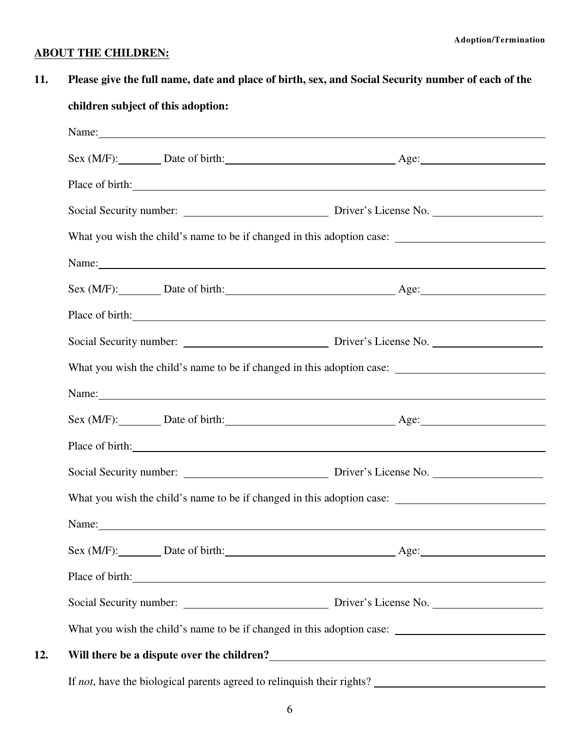### **ABOUT THE CHILDREN:**

**11. Please give the full name, date and place of birth, sex, and Social Security number of each of the children subject of this adoption:** Name: Sex (M/F): Date of birth: Age: Age: Place of birth:  $\qquad \qquad \qquad$ Social Security number: Driver's License No. What you wish the child's name to be if changed in this adoption case: Name: Sex (M/F): Date of birth: Age: Age: Place of birth: Social Security number: Driver's License No. What you wish the child's name to be if changed in this adoption case: Name: Sex (M/F): Date of birth: Age: Age: Age: Place of birth: Social Security number: Driver's License No. What you wish the child's name to be if changed in this adoption case: Name:  $\blacksquare$ Sex (M/F): Date of birth: Age: Age: Age: Place of birth: 2000 and 2000 and 2000 and 2000 and 2000 and 2000 and 2000 and 2000 and 2000 and 2000 and 2000  $\mu$ Social Security number: Driver's License No. What you wish the child's name to be if changed in this adoption case: **12. Will there be a dispute over the children?**

If *not*, have the biological parents agreed to relinquish their rights?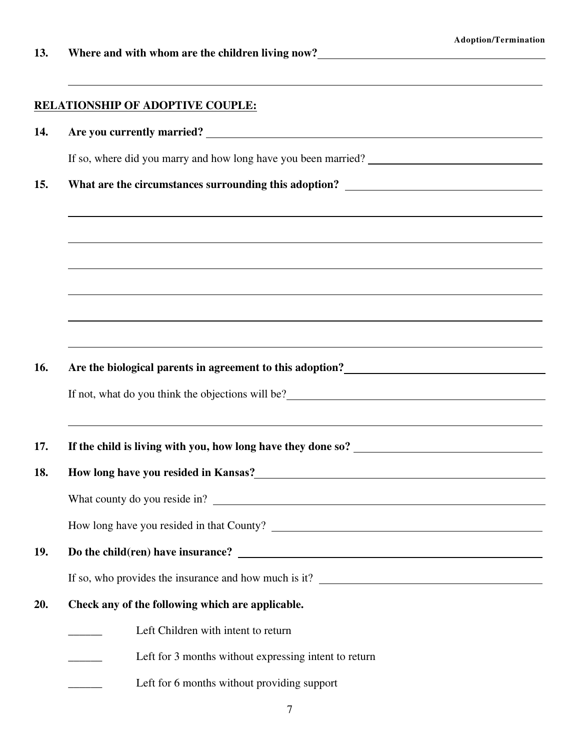**13. Where and with whom are the children living now?**

### **RELATIONSHIP OF ADOPTIVE COUPLE:**

**14. Are you currently married?**

If so, where did you marry and how long have you been married?

**15. What are the circumstances surrounding this adoption?**

**16. Are the biological parents in agreement to this adoption?**

If not, what do you think the objections will be?

**17. If the child is living with you, how long have they done so?**

#### **18. How long have you resided in Kansas?**

What county do you reside in?

How long have you resided in that County?

**19. Do the child(ren) have insurance?**

If so, who provides the insurance and how much is it?

- **20. Check any of the following which are applicable.**
	- Left Children with intent to return
	- Left for 3 months without expressing intent to return
	- Left for 6 months without providing support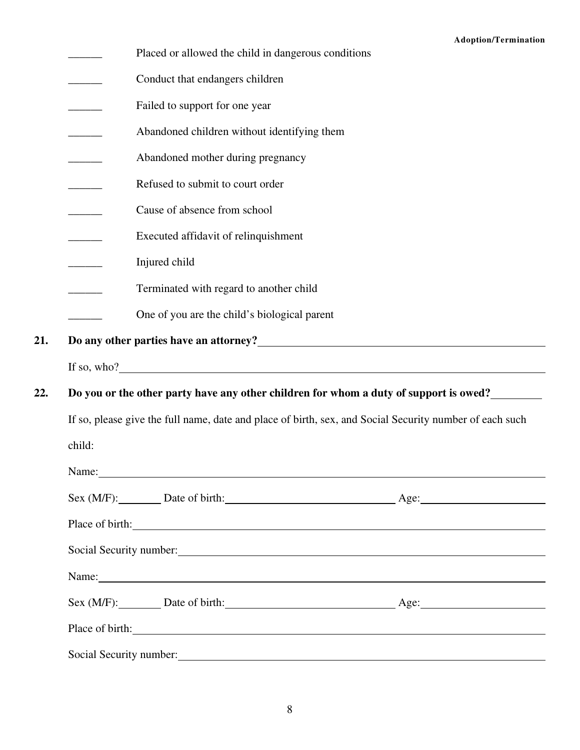|        | Placed or allowed the child in dangerous conditions                                                                                                                                                                                                                   | <b>Adoption/Termination</b> |
|--------|-----------------------------------------------------------------------------------------------------------------------------------------------------------------------------------------------------------------------------------------------------------------------|-----------------------------|
|        | Conduct that endangers children                                                                                                                                                                                                                                       |                             |
|        | Failed to support for one year                                                                                                                                                                                                                                        |                             |
|        | Abandoned children without identifying them                                                                                                                                                                                                                           |                             |
|        | Abandoned mother during pregnancy                                                                                                                                                                                                                                     |                             |
|        | Refused to submit to court order                                                                                                                                                                                                                                      |                             |
|        | Cause of absence from school                                                                                                                                                                                                                                          |                             |
|        | Executed affidavit of relinquishment                                                                                                                                                                                                                                  |                             |
|        | Injured child                                                                                                                                                                                                                                                         |                             |
|        | Terminated with regard to another child                                                                                                                                                                                                                               |                             |
|        | One of you are the child's biological parent                                                                                                                                                                                                                          |                             |
|        | Do any other parties have an attorney?<br><u>Letting</u> the substantian of the particle of the particle of the set of the set of the set of the set of the set of the set of the set of the set of the set of the set of the set of                                  |                             |
|        | If so, who? $\frac{1}{2}$ is a set of $\frac{1}{2}$ is a set of $\frac{1}{2}$ is a set of $\frac{1}{2}$ is a set of $\frac{1}{2}$ is a set of $\frac{1}{2}$ is a set of $\frac{1}{2}$ is a set of $\frac{1}{2}$ is a set of $\frac{1}{2}$ is a set of $\frac{1}{2}$ i |                             |
|        | Do you or the other party have any other children for whom a duty of support is owed?                                                                                                                                                                                 |                             |
|        | If so, please give the full name, date and place of birth, sex, and Social Security number of each such                                                                                                                                                               |                             |
| child: |                                                                                                                                                                                                                                                                       |                             |
|        |                                                                                                                                                                                                                                                                       |                             |
|        | Sex (M/F): Date of birth: Age: Age:                                                                                                                                                                                                                                   |                             |
|        | Place of birth:                                                                                                                                                                                                                                                       |                             |
|        | Social Security number: 1986. The Social Security number:                                                                                                                                                                                                             |                             |
|        | Name:                                                                                                                                                                                                                                                                 |                             |
|        | Sex (M/F): Date of birth: Age: Age:                                                                                                                                                                                                                                   |                             |
|        | Place of birth:                                                                                                                                                                                                                                                       |                             |
|        |                                                                                                                                                                                                                                                                       |                             |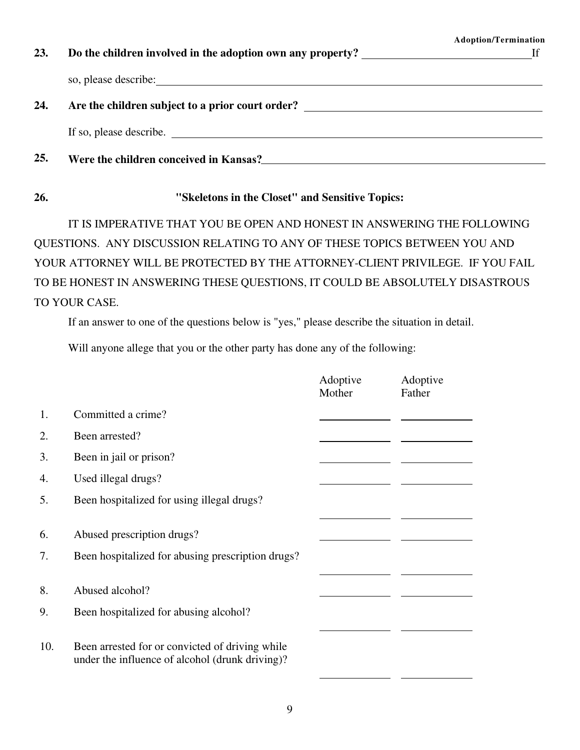| 23. | Do the children involved in the adoption own any property?                                                                                                                                                                             | <b>Adoption/Termination</b> |
|-----|----------------------------------------------------------------------------------------------------------------------------------------------------------------------------------------------------------------------------------------|-----------------------------|
|     | so, please describe: <u>contract and a set of the set of the set of the set of the set of the set of the set of the set of the set of the set of the set of the set of the set of the set of the set of the set of the set of th</u>   |                             |
| 24. | Are the children subject to a prior court order?                                                                                                                                                                                       |                             |
|     | If so, please describe.                                                                                                                                                                                                                |                             |
| 25. | Were the children conceived in Kansas?<br><u>Letting and the contract of the contract of the contract of the contract of the contract of the contract of the contract of the contract of the contract of the contract of the contr</u> |                             |

### **26. "Skeletons in the Closet" and Sensitive Topics:**

IT IS IMPERATIVE THAT YOU BE OPEN AND HONEST IN ANSWERING THE FOLLOWING QUESTIONS. ANY DISCUSSION RELATING TO ANY OF THESE TOPICS BETWEEN YOU AND YOUR ATTORNEY WILL BE PROTECTED BY THE ATTORNEY-CLIENT PRIVILEGE. IF YOU FAIL TO BE HONEST IN ANSWERING THESE QUESTIONS, IT COULD BE ABSOLUTELY DISASTROUS TO YOUR CASE.

If an answer to one of the questions below is "yes," please describe the situation in detail.

Will anyone allege that you or the other party has done any of the following:

|          |                                                                                                    | Adoptive<br>Mother | Adoptive<br>Father |
|----------|----------------------------------------------------------------------------------------------------|--------------------|--------------------|
| 1.       | Committed a crime?                                                                                 |                    |                    |
| 2.       | Been arrested?                                                                                     |                    |                    |
| 3.       | Been in jail or prison?                                                                            |                    |                    |
| 4.       | Used illegal drugs?                                                                                |                    |                    |
| 5.       | Been hospitalized for using illegal drugs?                                                         |                    |                    |
| 6.<br>7. | Abused prescription drugs?<br>Been hospitalized for abusing prescription drugs?                    |                    |                    |
| 8.       | Abused alcohol?                                                                                    |                    |                    |
| 9.       | Been hospitalized for abusing alcohol?                                                             |                    |                    |
| 10.      | Been arrested for or convicted of driving while<br>under the influence of alcohol (drunk driving)? |                    |                    |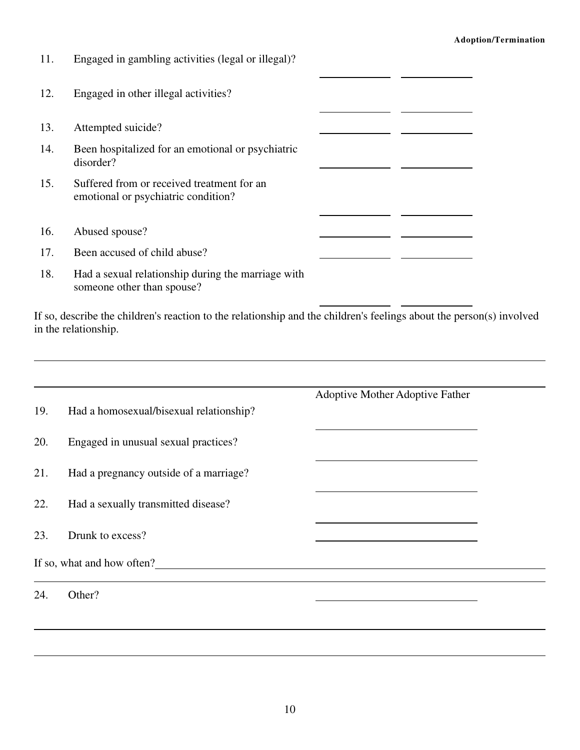#### **Adoption/Termination**

| 11. | Engaged in gambling activities (legal or illegal)?                                |  |  |
|-----|-----------------------------------------------------------------------------------|--|--|
| 12. | Engaged in other illegal activities?                                              |  |  |
| 13. | Attempted suicide?                                                                |  |  |
| 14. | Been hospitalized for an emotional or psychiatric<br>disorder?                    |  |  |
| 15. | Suffered from or received treatment for an<br>emotional or psychiatric condition? |  |  |
| 16. | Abused spouse?                                                                    |  |  |
| 17. | Been accused of child abuse?                                                      |  |  |
| 18. | Had a sexual relationship during the marriage with<br>someone other than spouse?  |  |  |

If so, describe the children's reaction to the relationship and the children's feelings about the person(s) involved in the relationship.

|     |                                         | Adoptive Mother Adoptive Father |
|-----|-----------------------------------------|---------------------------------|
| 19. | Had a homosexual/bisexual relationship? |                                 |
| 20. | Engaged in unusual sexual practices?    |                                 |
| 21. | Had a pregnancy outside of a marriage?  |                                 |
| 22. | Had a sexually transmitted disease?     |                                 |
| 23. | Drunk to excess?                        |                                 |
|     | If so, what and how often?              |                                 |
| 24. | Other?                                  |                                 |
|     |                                         |                                 |